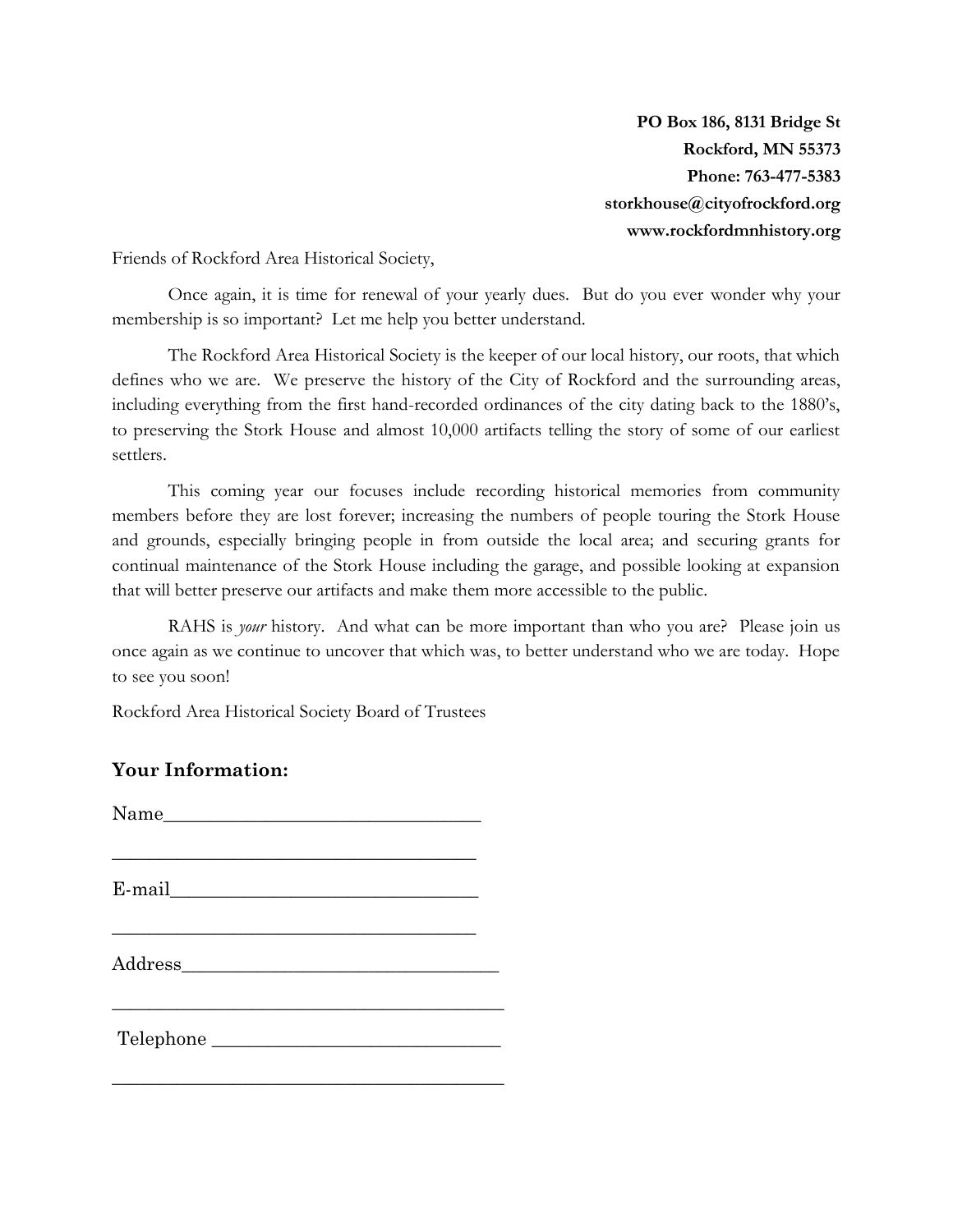**PO Box 186, 8131 Bridge St Rockford, MN 55373 Phone: 763-477-5383 storkhouse@cityofrockford.org www.rockfordmnhistory.org**

Friends of Rockford Area Historical Society,

Once again, it is time for renewal of your yearly dues. But do you ever wonder why your membership is so important? Let me help you better understand.

The Rockford Area Historical Society is the keeper of our local history, our roots, that which defines who we are. We preserve the history of the City of Rockford and the surrounding areas, including everything from the first hand-recorded ordinances of the city dating back to the 1880's, to preserving the Stork House and almost 10,000 artifacts telling the story of some of our earliest settlers.

This coming year our focuses include recording historical memories from community members before they are lost forever; increasing the numbers of people touring the Stork House and grounds, especially bringing people in from outside the local area; and securing grants for continual maintenance of the Stork House including the garage, and possible looking at expansion that will better preserve our artifacts and make them more accessible to the public.

RAHS is *your* history. And what can be more important than who you are? Please join us once again as we continue to uncover that which was, to better understand who we are today. Hope to see you soon!

Rockford Area Historical Society Board of Trustees

## **Your Information:**

| Telephone |  |
|-----------|--|